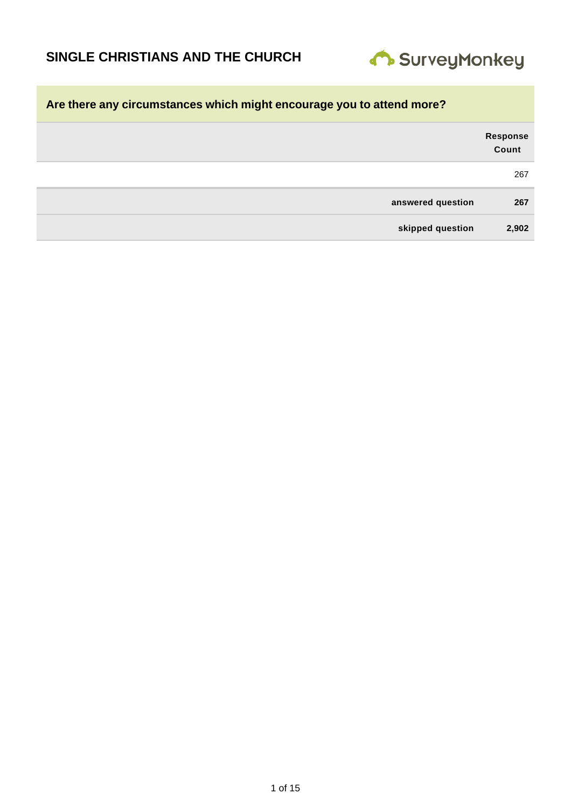

| Response<br>Count |                   |
|-------------------|-------------------|
| 267               |                   |
| 267               | answered question |
| 2,902             | skipped question  |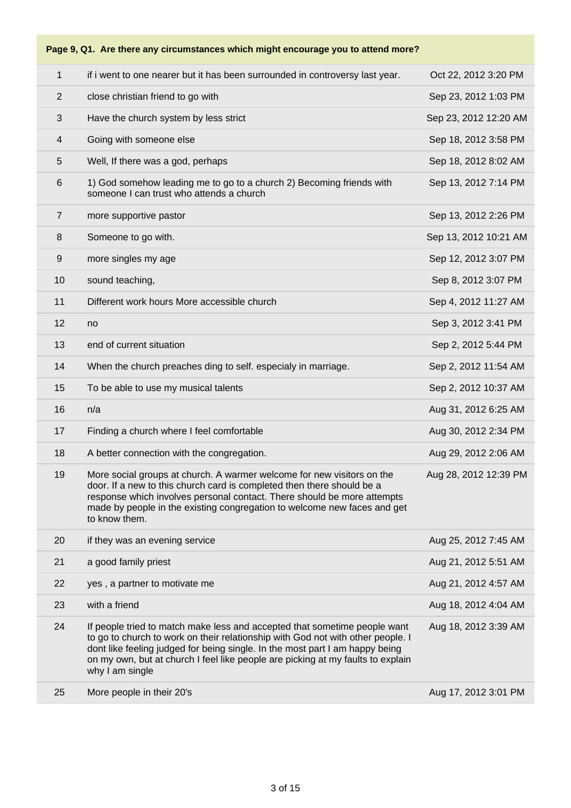| $\mathbf{1}$   | if i went to one nearer but it has been surrounded in controversy last year.                                                                                                                                                                                                                                                                       | Oct 22, 2012 3:20 PM  |
|----------------|----------------------------------------------------------------------------------------------------------------------------------------------------------------------------------------------------------------------------------------------------------------------------------------------------------------------------------------------------|-----------------------|
| 2              | close christian friend to go with                                                                                                                                                                                                                                                                                                                  | Sep 23, 2012 1:03 PM  |
| $\mathbf{3}$   | Have the church system by less strict                                                                                                                                                                                                                                                                                                              | Sep 23, 2012 12:20 AM |
| $\overline{4}$ | Going with someone else                                                                                                                                                                                                                                                                                                                            | Sep 18, 2012 3:58 PM  |
| 5              | Well, If there was a god, perhaps                                                                                                                                                                                                                                                                                                                  | Sep 18, 2012 8:02 AM  |
| $\,6$          | 1) God somehow leading me to go to a church 2) Becoming friends with<br>someone I can trust who attends a church                                                                                                                                                                                                                                   | Sep 13, 2012 7:14 PM  |
| $\overline{7}$ | more supportive pastor                                                                                                                                                                                                                                                                                                                             | Sep 13, 2012 2:26 PM  |
| 8              | Someone to go with.                                                                                                                                                                                                                                                                                                                                | Sep 13, 2012 10:21 AM |
| $9\,$          | more singles my age                                                                                                                                                                                                                                                                                                                                | Sep 12, 2012 3:07 PM  |
| 10             | sound teaching,                                                                                                                                                                                                                                                                                                                                    | Sep 8, 2012 3:07 PM   |
| 11             | Different work hours More accessible church                                                                                                                                                                                                                                                                                                        | Sep 4, 2012 11:27 AM  |
| 12             | no                                                                                                                                                                                                                                                                                                                                                 | Sep 3, 2012 3:41 PM   |
| 13             | end of current situation                                                                                                                                                                                                                                                                                                                           | Sep 2, 2012 5:44 PM   |
| 14             | When the church preaches ding to self. especialy in marriage.                                                                                                                                                                                                                                                                                      | Sep 2, 2012 11:54 AM  |
| 15             | To be able to use my musical talents                                                                                                                                                                                                                                                                                                               | Sep 2, 2012 10:37 AM  |
| 16             | n/a                                                                                                                                                                                                                                                                                                                                                | Aug 31, 2012 6:25 AM  |
| 17             | Finding a church where I feel comfortable                                                                                                                                                                                                                                                                                                          | Aug 30, 2012 2:34 PM  |
| 18             | A better connection with the congregation.                                                                                                                                                                                                                                                                                                         | Aug 29, 2012 2:06 AM  |
| 19             | More social groups at church. A warmer welcome for new visitors on the<br>door. If a new to this church card is completed then there should be a<br>response which involves personal contact. There should be more attempts<br>made by people in the existing congregation to welcome new faces and get<br>to know them.                           | Aug 28, 2012 12:39 PM |
| 20             | if they was an evening service                                                                                                                                                                                                                                                                                                                     | Aug 25, 2012 7:45 AM  |
| 21             | a good family priest                                                                                                                                                                                                                                                                                                                               | Aug 21, 2012 5:51 AM  |
| 22             | yes, a partner to motivate me                                                                                                                                                                                                                                                                                                                      | Aug 21, 2012 4:57 AM  |
| 23             | with a friend                                                                                                                                                                                                                                                                                                                                      | Aug 18, 2012 4:04 AM  |
| 24             | If people tried to match make less and accepted that sometime people want<br>to go to church to work on their relationship with God not with other people. I<br>dont like feeling judged for being single. In the most part I am happy being<br>on my own, but at church I feel like people are picking at my faults to explain<br>why I am single | Aug 18, 2012 3:39 AM  |
| 25             | More people in their 20's                                                                                                                                                                                                                                                                                                                          | Aug 17, 2012 3:01 PM  |
|                |                                                                                                                                                                                                                                                                                                                                                    |                       |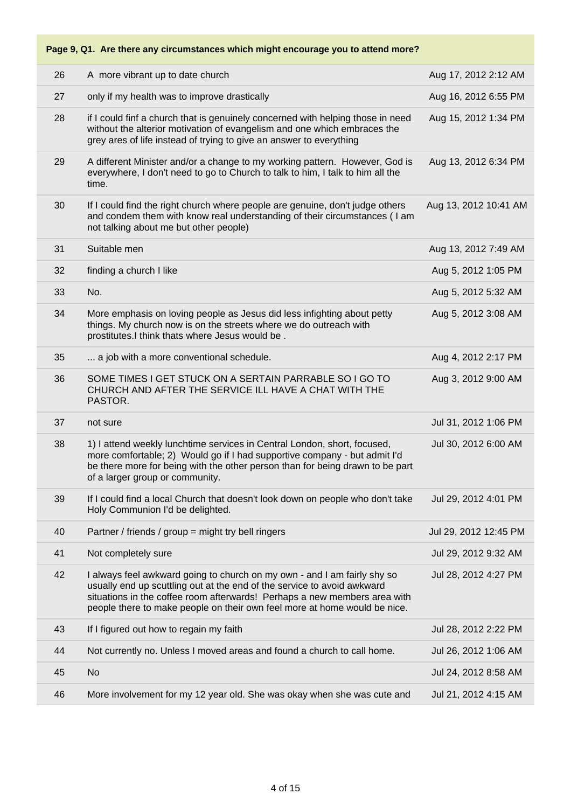| 26 | A more vibrant up to date church                                                                                                                                                                                                                                                                              | Aug 17, 2012 2:12 AM  |
|----|---------------------------------------------------------------------------------------------------------------------------------------------------------------------------------------------------------------------------------------------------------------------------------------------------------------|-----------------------|
| 27 | only if my health was to improve drastically                                                                                                                                                                                                                                                                  | Aug 16, 2012 6:55 PM  |
| 28 | if I could finf a church that is genuinely concerned with helping those in need<br>without the alterior motivation of evangelism and one which embraces the<br>grey ares of life instead of trying to give an answer to everything                                                                            | Aug 15, 2012 1:34 PM  |
| 29 | A different Minister and/or a change to my working pattern. However, God is<br>everywhere, I don't need to go to Church to talk to him, I talk to him all the<br>time.                                                                                                                                        | Aug 13, 2012 6:34 PM  |
| 30 | If I could find the right church where people are genuine, don't judge others<br>and condem them with know real understanding of their circumstances ( I am<br>not talking about me but other people)                                                                                                         | Aug 13, 2012 10:41 AM |
| 31 | Suitable men                                                                                                                                                                                                                                                                                                  | Aug 13, 2012 7:49 AM  |
| 32 | finding a church I like                                                                                                                                                                                                                                                                                       | Aug 5, 2012 1:05 PM   |
| 33 | No.                                                                                                                                                                                                                                                                                                           | Aug 5, 2012 5:32 AM   |
| 34 | More emphasis on loving people as Jesus did less infighting about petty<br>things. My church now is on the streets where we do outreach with<br>prostitutes.I think thats where Jesus would be.                                                                                                               | Aug 5, 2012 3:08 AM   |
| 35 | a job with a more conventional schedule.                                                                                                                                                                                                                                                                      | Aug 4, 2012 2:17 PM   |
| 36 | SOME TIMES I GET STUCK ON A SERTAIN PARRABLE SO I GO TO<br>CHURCH AND AFTER THE SERVICE ILL HAVE A CHAT WITH THE<br>PASTOR.                                                                                                                                                                                   | Aug 3, 2012 9:00 AM   |
| 37 | not sure                                                                                                                                                                                                                                                                                                      | Jul 31, 2012 1:06 PM  |
| 38 | 1) I attend weekly lunchtime services in Central London, short, focused,<br>more comfortable; 2) Would go if I had supportive company - but admit I'd<br>be there more for being with the other person than for being drawn to be part<br>of a larger group or community.                                     | Jul 30, 2012 6:00 AM  |
| 39 | If I could find a local Church that doesn't look down on people who don't take<br>Holy Communion I'd be delighted.                                                                                                                                                                                            | Jul 29, 2012 4:01 PM  |
| 40 | Partner / friends / group = might try bell ringers                                                                                                                                                                                                                                                            | Jul 29, 2012 12:45 PM |
| 41 | Not completely sure                                                                                                                                                                                                                                                                                           | Jul 29, 2012 9:32 AM  |
| 42 | I always feel awkward going to church on my own - and I am fairly shy so<br>usually end up scuttling out at the end of the service to avoid awkward<br>situations in the coffee room afterwards! Perhaps a new members area with<br>people there to make people on their own feel more at home would be nice. | Jul 28, 2012 4:27 PM  |
| 43 | If I figured out how to regain my faith                                                                                                                                                                                                                                                                       | Jul 28, 2012 2:22 PM  |
| 44 | Not currently no. Unless I moved areas and found a church to call home.                                                                                                                                                                                                                                       | Jul 26, 2012 1:06 AM  |
| 45 | <b>No</b>                                                                                                                                                                                                                                                                                                     | Jul 24, 2012 8:58 AM  |
| 46 | More involvement for my 12 year old. She was okay when she was cute and                                                                                                                                                                                                                                       | Jul 21, 2012 4:15 AM  |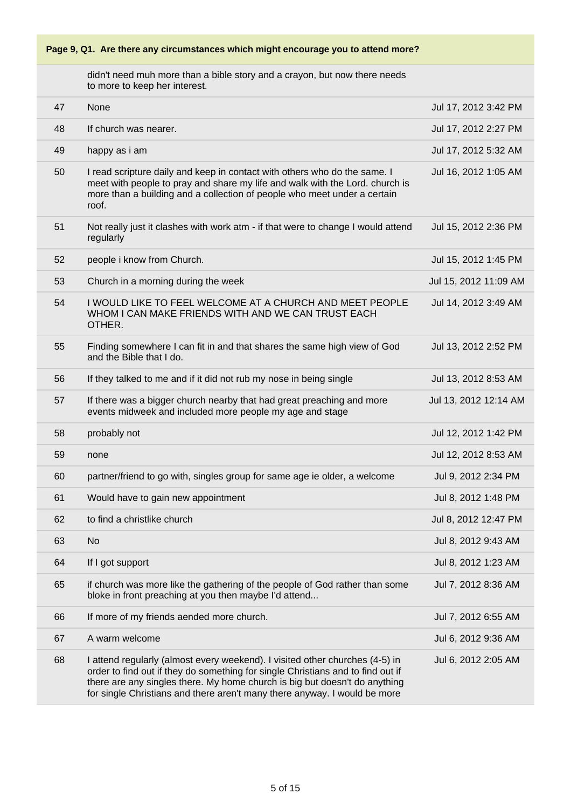didn't need muh more than a bible story and a crayon, but now there needs to more to keep her interest.

| 47 | None                                                                                                                                                                                                                                                                                                                       | Jul 17, 2012 3:42 PM  |
|----|----------------------------------------------------------------------------------------------------------------------------------------------------------------------------------------------------------------------------------------------------------------------------------------------------------------------------|-----------------------|
| 48 | If church was nearer.                                                                                                                                                                                                                                                                                                      | Jul 17, 2012 2:27 PM  |
| 49 | happy as i am                                                                                                                                                                                                                                                                                                              | Jul 17, 2012 5:32 AM  |
| 50 | I read scripture daily and keep in contact with others who do the same. I<br>meet with people to pray and share my life and walk with the Lord. church is<br>more than a building and a collection of people who meet under a certain<br>roof.                                                                             | Jul 16, 2012 1:05 AM  |
| 51 | Not really just it clashes with work atm - if that were to change I would attend<br>regularly                                                                                                                                                                                                                              | Jul 15, 2012 2:36 PM  |
| 52 | people i know from Church.                                                                                                                                                                                                                                                                                                 | Jul 15, 2012 1:45 PM  |
| 53 | Church in a morning during the week                                                                                                                                                                                                                                                                                        | Jul 15, 2012 11:09 AM |
| 54 | I WOULD LIKE TO FEEL WELCOME AT A CHURCH AND MEET PEOPLE<br>WHOM I CAN MAKE FRIENDS WITH AND WE CAN TRUST EACH<br>OTHER.                                                                                                                                                                                                   | Jul 14, 2012 3:49 AM  |
| 55 | Finding somewhere I can fit in and that shares the same high view of God<br>and the Bible that I do.                                                                                                                                                                                                                       | Jul 13, 2012 2:52 PM  |
| 56 | If they talked to me and if it did not rub my nose in being single                                                                                                                                                                                                                                                         | Jul 13, 2012 8:53 AM  |
| 57 | If there was a bigger church nearby that had great preaching and more<br>events midweek and included more people my age and stage                                                                                                                                                                                          | Jul 13, 2012 12:14 AM |
| 58 | probably not                                                                                                                                                                                                                                                                                                               | Jul 12, 2012 1:42 PM  |
| 59 | none                                                                                                                                                                                                                                                                                                                       | Jul 12, 2012 8:53 AM  |
| 60 | partner/friend to go with, singles group for same age ie older, a welcome                                                                                                                                                                                                                                                  | Jul 9, 2012 2:34 PM   |
| 61 | Would have to gain new appointment                                                                                                                                                                                                                                                                                         | Jul 8, 2012 1:48 PM   |
| 62 | to find a christlike church                                                                                                                                                                                                                                                                                                | Jul 8, 2012 12:47 PM  |
| 63 | <b>No</b>                                                                                                                                                                                                                                                                                                                  | Jul 8, 2012 9:43 AM   |
| 64 | If I got support                                                                                                                                                                                                                                                                                                           | Jul 8, 2012 1:23 AM   |
| 65 | if church was more like the gathering of the people of God rather than some<br>bloke in front preaching at you then maybe I'd attend                                                                                                                                                                                       | Jul 7, 2012 8:36 AM   |
| 66 | If more of my friends aended more church.                                                                                                                                                                                                                                                                                  | Jul 7, 2012 6:55 AM   |
| 67 | A warm welcome                                                                                                                                                                                                                                                                                                             | Jul 6, 2012 9:36 AM   |
| 68 | I attend regularly (almost every weekend). I visited other churches (4-5) in<br>order to find out if they do something for single Christians and to find out if<br>there are any singles there. My home church is big but doesn't do anything<br>for single Christians and there aren't many there anyway. I would be more | Jul 6, 2012 2:05 AM   |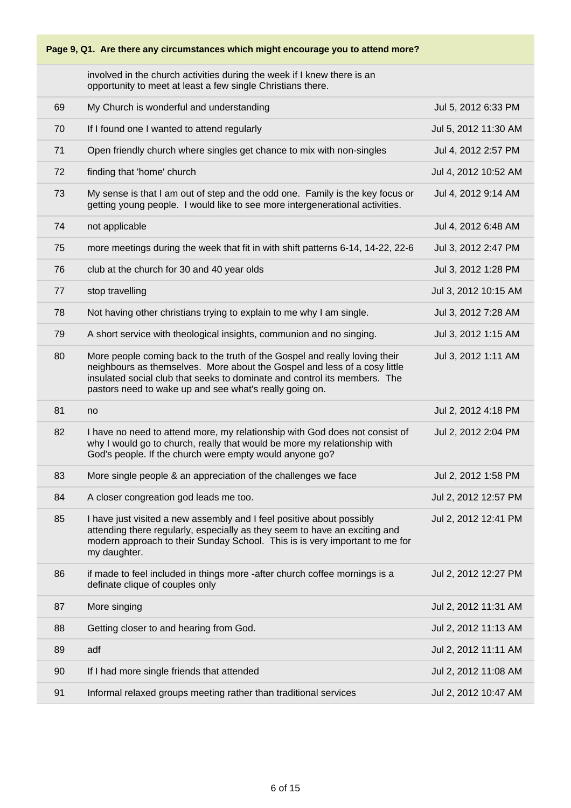involved in the church activities during the week if I knew there is an opportunity to meet at least a few single Christians there.

| 69 | My Church is wonderful and understanding                                                                                                                                                                                                                                                        | Jul 5, 2012 6:33 PM  |
|----|-------------------------------------------------------------------------------------------------------------------------------------------------------------------------------------------------------------------------------------------------------------------------------------------------|----------------------|
| 70 | If I found one I wanted to attend regularly                                                                                                                                                                                                                                                     | Jul 5, 2012 11:30 AM |
| 71 | Open friendly church where singles get chance to mix with non-singles                                                                                                                                                                                                                           | Jul 4, 2012 2:57 PM  |
| 72 | finding that 'home' church                                                                                                                                                                                                                                                                      | Jul 4, 2012 10:52 AM |
| 73 | My sense is that I am out of step and the odd one. Family is the key focus or<br>getting young people. I would like to see more intergenerational activities.                                                                                                                                   | Jul 4, 2012 9:14 AM  |
| 74 | not applicable                                                                                                                                                                                                                                                                                  | Jul 4, 2012 6:48 AM  |
| 75 | more meetings during the week that fit in with shift patterns 6-14, 14-22, 22-6                                                                                                                                                                                                                 | Jul 3, 2012 2:47 PM  |
| 76 | club at the church for 30 and 40 year olds                                                                                                                                                                                                                                                      | Jul 3, 2012 1:28 PM  |
| 77 | stop travelling                                                                                                                                                                                                                                                                                 | Jul 3, 2012 10:15 AM |
| 78 | Not having other christians trying to explain to me why I am single.                                                                                                                                                                                                                            | Jul 3, 2012 7:28 AM  |
| 79 | A short service with theological insights, communion and no singing.                                                                                                                                                                                                                            | Jul 3, 2012 1:15 AM  |
| 80 | More people coming back to the truth of the Gospel and really loving their<br>neighbours as themselves. More about the Gospel and less of a cosy little<br>insulated social club that seeks to dominate and control its members. The<br>pastors need to wake up and see what's really going on. | Jul 3, 2012 1:11 AM  |
| 81 | no                                                                                                                                                                                                                                                                                              | Jul 2, 2012 4:18 PM  |
| 82 | I have no need to attend more, my relationship with God does not consist of<br>why I would go to church, really that would be more my relationship with<br>God's people. If the church were empty would anyone go?                                                                              | Jul 2, 2012 2:04 PM  |
| 83 | More single people & an appreciation of the challenges we face                                                                                                                                                                                                                                  | Jul 2, 2012 1:58 PM  |
| 84 | A closer congreation god leads me too.                                                                                                                                                                                                                                                          | Jul 2, 2012 12:57 PM |
| 85 | I have just visited a new assembly and I feel positive about possibly<br>attending there regularly, especially as they seem to have an exciting and<br>modern approach to their Sunday School. This is is very important to me for<br>my daughter.                                              | Jul 2, 2012 12:41 PM |
| 86 | if made to feel included in things more -after church coffee mornings is a<br>definate clique of couples only                                                                                                                                                                                   | Jul 2, 2012 12:27 PM |
| 87 | More singing                                                                                                                                                                                                                                                                                    | Jul 2, 2012 11:31 AM |
| 88 | Getting closer to and hearing from God.                                                                                                                                                                                                                                                         | Jul 2, 2012 11:13 AM |
| 89 | adf                                                                                                                                                                                                                                                                                             | Jul 2, 2012 11:11 AM |
| 90 | If I had more single friends that attended                                                                                                                                                                                                                                                      | Jul 2, 2012 11:08 AM |
| 91 | Informal relaxed groups meeting rather than traditional services                                                                                                                                                                                                                                | Jul 2, 2012 10:47 AM |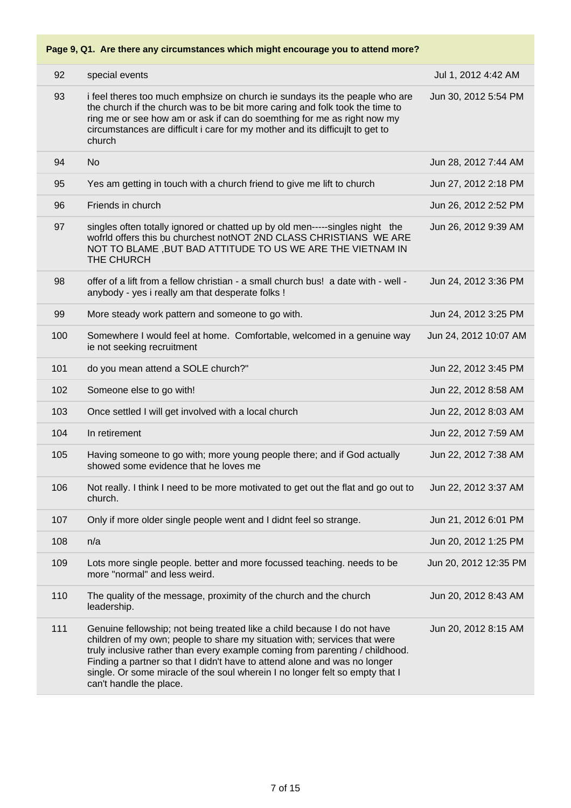### 92 special events Jul 1, 2012 4:42 AM 93 i feel theres too much emphsize on church ie sundays its the peaple who are the church if the church was to be bit more caring and folk took the time to ring me or see how am or ask if can do soemthing for me as right now my circumstances are difficult i care for my mother and its difficujlt to get to church Jun 30, 2012 5:54 PM 94 No Jun 28, 2012 7:44 AM 95 Yes am getting in touch with a church friend to give me lift to church Jun 27, 2012 2:18 PM 96 Friends in church Jun 26, 2012 2:52 PM 97 singles often totally ignored or chatted up by old men-----singles night the wofrld offers this bu churchest notNOT 2ND CLASS CHRISTIANS WE ARE NOT TO BLAME ,BUT BAD ATTITUDE TO US WE ARE THE VIETNAM IN THE CHURCH Jun 26, 2012 9:39 AM 98 offer of a lift from a fellow christian - a small church bus! a date with - well anybody - yes i really am that desperate folks ! Jun 24, 2012 3:36 PM 99 More steady work pattern and someone to go with. Jun 24, 2012 3:25 PM 100 Somewhere I would feel at home. Comfortable, welcomed in a genuine way ie not seeking recruitment Jun 24, 2012 10:07 AM 101 do you mean attend a SOLE church?" Jun 22, 2012 3:45 PM 102 Someone else to go with! Jun 22, 2012 8:58 AM 103 Once settled I will get involved with a local church 103 Unit 22, 2012 8:03 AM 104 In retirement Jun 22, 2012 7:59 AM 105 Having someone to go with; more young people there; and if God actually showed some evidence that he loves me Jun 22, 2012 7:38 AM 106 Not really. I think I need to be more motivated to get out the flat and go out to church. Jun 22, 2012 3:37 AM 107 Only if more older single people went and I didnt feel so strange. Jun 21, 2012 6:01 PM 108 n/a Jun 20, 2012 1:25 PM 109 Lots more single people. better and more focussed teaching. needs to be more "normal" and less weird. Jun 20, 2012 12:35 PM 110 The quality of the message, proximity of the church and the church leadership. Jun 20, 2012 8:43 AM 111 Genuine fellowship; not being treated like a child because I do not have children of my own; people to share my situation with; services that were truly inclusive rather than every example coming from parenting / childhood. Finding a partner so that I didn't have to attend alone and was no longer single. Or some miracle of the soul wherein I no longer felt so empty that I can't handle the place. Jun 20, 2012 8:15 AM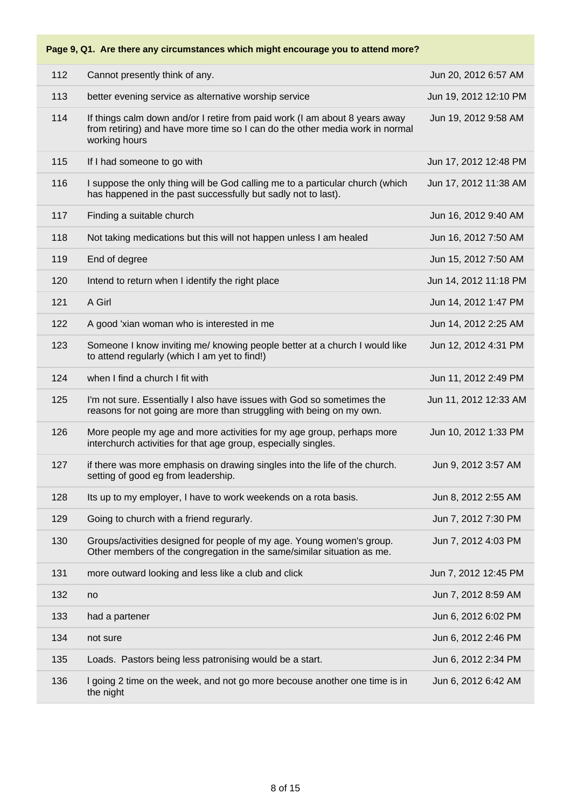| 112 | Cannot presently think of any.                                                                                                                                               | Jun 20, 2012 6:57 AM  |
|-----|------------------------------------------------------------------------------------------------------------------------------------------------------------------------------|-----------------------|
| 113 | better evening service as alternative worship service                                                                                                                        | Jun 19, 2012 12:10 PM |
| 114 | If things calm down and/or I retire from paid work (I am about 8 years away<br>from retiring) and have more time so I can do the other media work in normal<br>working hours | Jun 19, 2012 9:58 AM  |
| 115 | If I had someone to go with                                                                                                                                                  | Jun 17, 2012 12:48 PM |
| 116 | I suppose the only thing will be God calling me to a particular church (which<br>has happened in the past successfully but sadly not to last).                               | Jun 17, 2012 11:38 AM |
| 117 | Finding a suitable church                                                                                                                                                    | Jun 16, 2012 9:40 AM  |
| 118 | Not taking medications but this will not happen unless I am healed                                                                                                           | Jun 16, 2012 7:50 AM  |
| 119 | End of degree                                                                                                                                                                | Jun 15, 2012 7:50 AM  |
| 120 | Intend to return when I identify the right place                                                                                                                             | Jun 14, 2012 11:18 PM |
| 121 | A Girl                                                                                                                                                                       | Jun 14, 2012 1:47 PM  |
| 122 | A good 'xian woman who is interested in me                                                                                                                                   | Jun 14, 2012 2:25 AM  |
| 123 | Someone I know inviting me/ knowing people better at a church I would like<br>to attend regularly (which I am yet to find!)                                                  | Jun 12, 2012 4:31 PM  |
| 124 | when I find a church I fit with                                                                                                                                              | Jun 11, 2012 2:49 PM  |
| 125 | I'm not sure. Essentially I also have issues with God so sometimes the<br>reasons for not going are more than struggling with being on my own.                               | Jun 11, 2012 12:33 AM |
| 126 | More people my age and more activities for my age group, perhaps more<br>interchurch activities for that age group, especially singles.                                      | Jun 10, 2012 1:33 PM  |
| 127 | if there was more emphasis on drawing singles into the life of the church.<br>setting of good eg from leadership.                                                            | Jun 9, 2012 3:57 AM   |
| 128 | Its up to my employer, I have to work weekends on a rota basis.                                                                                                              | Jun 8, 2012 2:55 AM   |
| 129 | Going to church with a friend regurarly.                                                                                                                                     | Jun 7, 2012 7:30 PM   |
| 130 | Groups/activities designed for people of my age. Young women's group.<br>Other members of the congregation in the same/similar situation as me.                              | Jun 7, 2012 4:03 PM   |
| 131 | more outward looking and less like a club and click                                                                                                                          | Jun 7, 2012 12:45 PM  |
| 132 | no                                                                                                                                                                           | Jun 7, 2012 8:59 AM   |
| 133 | had a partener                                                                                                                                                               | Jun 6, 2012 6:02 PM   |
| 134 | not sure                                                                                                                                                                     | Jun 6, 2012 2:46 PM   |
| 135 | Loads. Pastors being less patronising would be a start.                                                                                                                      | Jun 6, 2012 2:34 PM   |
| 136 | I going 2 time on the week, and not go more becouse another one time is in<br>the night                                                                                      | Jun 6, 2012 6:42 AM   |
|     |                                                                                                                                                                              |                       |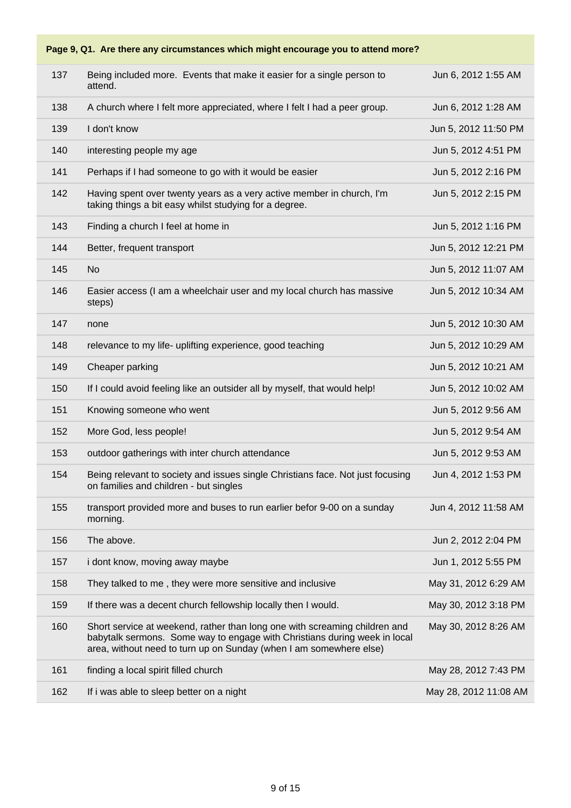|     | Page 9, Q1. Are there any circumstances which might encourage you to attend more?                                                                                                                                             |                       |
|-----|-------------------------------------------------------------------------------------------------------------------------------------------------------------------------------------------------------------------------------|-----------------------|
| 137 | Being included more. Events that make it easier for a single person to<br>attend.                                                                                                                                             | Jun 6, 2012 1:55 AM   |
| 138 | A church where I felt more appreciated, where I felt I had a peer group.                                                                                                                                                      | Jun 6, 2012 1:28 AM   |
| 139 | I don't know                                                                                                                                                                                                                  | Jun 5, 2012 11:50 PM  |
| 140 | interesting people my age                                                                                                                                                                                                     | Jun 5, 2012 4:51 PM   |
| 141 | Perhaps if I had someone to go with it would be easier                                                                                                                                                                        | Jun 5, 2012 2:16 PM   |
| 142 | Having spent over twenty years as a very active member in church, I'm<br>taking things a bit easy whilst studying for a degree.                                                                                               | Jun 5, 2012 2:15 PM   |
| 143 | Finding a church I feel at home in                                                                                                                                                                                            | Jun 5, 2012 1:16 PM   |
| 144 | Better, frequent transport                                                                                                                                                                                                    | Jun 5, 2012 12:21 PM  |
| 145 | <b>No</b>                                                                                                                                                                                                                     | Jun 5, 2012 11:07 AM  |
| 146 | Easier access (I am a wheelchair user and my local church has massive<br>steps)                                                                                                                                               | Jun 5, 2012 10:34 AM  |
| 147 | none                                                                                                                                                                                                                          | Jun 5, 2012 10:30 AM  |
| 148 | relevance to my life- uplifting experience, good teaching                                                                                                                                                                     | Jun 5, 2012 10:29 AM  |
| 149 | Cheaper parking                                                                                                                                                                                                               | Jun 5, 2012 10:21 AM  |
| 150 | If I could avoid feeling like an outsider all by myself, that would help!                                                                                                                                                     | Jun 5, 2012 10:02 AM  |
| 151 | Knowing someone who went                                                                                                                                                                                                      | Jun 5, 2012 9:56 AM   |
| 152 | More God, less people!                                                                                                                                                                                                        | Jun 5, 2012 9:54 AM   |
| 153 | outdoor gatherings with inter church attendance                                                                                                                                                                               | Jun 5, 2012 9:53 AM   |
| 154 | Being relevant to society and issues single Christians face. Not just focusing<br>on families and children - but singles                                                                                                      | Jun 4, 2012 1:53 PM   |
| 155 | transport provided more and buses to run earlier befor 9-00 on a sunday<br>morning.                                                                                                                                           | Jun 4, 2012 11:58 AM  |
| 156 | The above.                                                                                                                                                                                                                    | Jun 2, 2012 2:04 PM   |
| 157 | i dont know, moving away maybe                                                                                                                                                                                                | Jun 1, 2012 5:55 PM   |
| 158 | They talked to me, they were more sensitive and inclusive                                                                                                                                                                     | May 31, 2012 6:29 AM  |
| 159 | If there was a decent church fellowship locally then I would.                                                                                                                                                                 | May 30, 2012 3:18 PM  |
| 160 | Short service at weekend, rather than long one with screaming children and<br>babytalk sermons. Some way to engage with Christians during week in local<br>area, without need to turn up on Sunday (when I am somewhere else) | May 30, 2012 8:26 AM  |
| 161 | finding a local spirit filled church                                                                                                                                                                                          | May 28, 2012 7:43 PM  |
| 162 | If i was able to sleep better on a night                                                                                                                                                                                      | May 28, 2012 11:08 AM |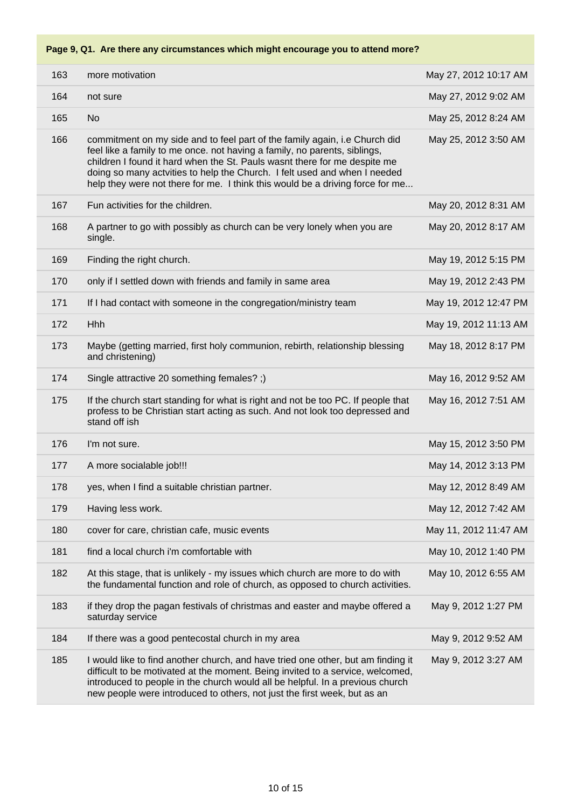| 163 | more motivation                                                                                                                                                                                                                                                                                                                                                                                    | May 27, 2012 10:17 AM |
|-----|----------------------------------------------------------------------------------------------------------------------------------------------------------------------------------------------------------------------------------------------------------------------------------------------------------------------------------------------------------------------------------------------------|-----------------------|
| 164 | not sure                                                                                                                                                                                                                                                                                                                                                                                           | May 27, 2012 9:02 AM  |
| 165 | <b>No</b>                                                                                                                                                                                                                                                                                                                                                                                          | May 25, 2012 8:24 AM  |
| 166 | commitment on my side and to feel part of the family again, i.e Church did<br>feel like a family to me once. not having a family, no parents, siblings,<br>children I found it hard when the St. Pauls wasnt there for me despite me<br>doing so many actvities to help the Church. I felt used and when I needed<br>help they were not there for me. I think this would be a driving force for me | May 25, 2012 3:50 AM  |
| 167 | Fun activities for the children.                                                                                                                                                                                                                                                                                                                                                                   | May 20, 2012 8:31 AM  |
| 168 | A partner to go with possibly as church can be very lonely when you are<br>single.                                                                                                                                                                                                                                                                                                                 | May 20, 2012 8:17 AM  |
| 169 | Finding the right church.                                                                                                                                                                                                                                                                                                                                                                          | May 19, 2012 5:15 PM  |
| 170 | only if I settled down with friends and family in same area                                                                                                                                                                                                                                                                                                                                        | May 19, 2012 2:43 PM  |
| 171 | If I had contact with someone in the congregation/ministry team                                                                                                                                                                                                                                                                                                                                    | May 19, 2012 12:47 PM |
| 172 | Hhh                                                                                                                                                                                                                                                                                                                                                                                                | May 19, 2012 11:13 AM |
| 173 | Maybe (getting married, first holy communion, rebirth, relationship blessing<br>and christening)                                                                                                                                                                                                                                                                                                   | May 18, 2012 8:17 PM  |
| 174 | Single attractive 20 something females? ;)                                                                                                                                                                                                                                                                                                                                                         | May 16, 2012 9:52 AM  |
| 175 | If the church start standing for what is right and not be too PC. If people that<br>profess to be Christian start acting as such. And not look too depressed and<br>stand off ish                                                                                                                                                                                                                  | May 16, 2012 7:51 AM  |
| 176 | I'm not sure.                                                                                                                                                                                                                                                                                                                                                                                      | May 15, 2012 3:50 PM  |
| 177 | A more socialable job!!!                                                                                                                                                                                                                                                                                                                                                                           | May 14, 2012 3:13 PM  |
| 178 | yes, when I find a suitable christian partner.                                                                                                                                                                                                                                                                                                                                                     | May 12, 2012 8:49 AM  |
| 179 | Having less work.                                                                                                                                                                                                                                                                                                                                                                                  | May 12, 2012 7:42 AM  |
| 180 | cover for care, christian cafe, music events                                                                                                                                                                                                                                                                                                                                                       | May 11, 2012 11:47 AM |
| 181 | find a local church i'm comfortable with                                                                                                                                                                                                                                                                                                                                                           | May 10, 2012 1:40 PM  |
| 182 | At this stage, that is unlikely - my issues which church are more to do with<br>the fundamental function and role of church, as opposed to church activities.                                                                                                                                                                                                                                      | May 10, 2012 6:55 AM  |
| 183 | if they drop the pagan festivals of christmas and easter and maybe offered a<br>saturday service                                                                                                                                                                                                                                                                                                   | May 9, 2012 1:27 PM   |
| 184 | If there was a good pentecostal church in my area                                                                                                                                                                                                                                                                                                                                                  | May 9, 2012 9:52 AM   |
| 185 | I would like to find another church, and have tried one other, but am finding it<br>difficult to be motivated at the moment. Being invited to a service, welcomed,<br>introduced to people in the church would all be helpful. In a previous church<br>new people were introduced to others, not just the first week, but as an                                                                    | May 9, 2012 3:27 AM   |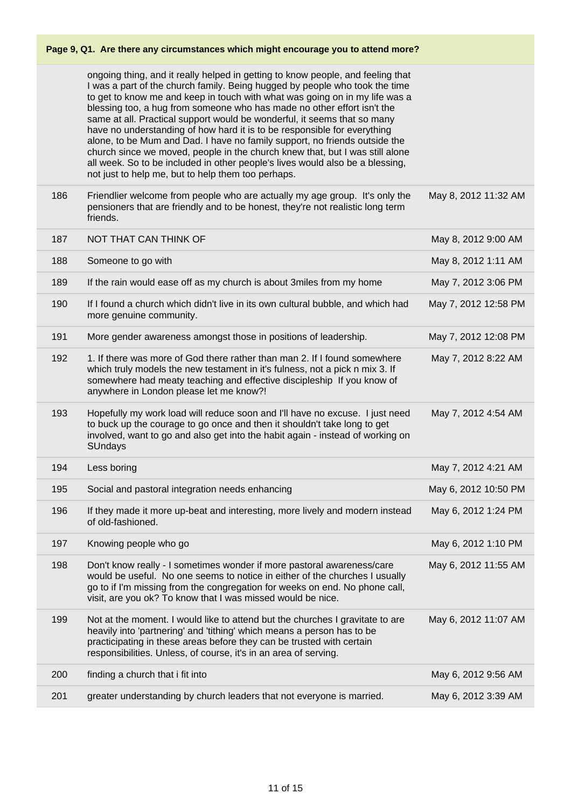|     | Page 9, Q1. Are there any circumstances which might encourage you to attend more?                                                                                                                                                                                                                                                                                                                                                                                                                                                                                                                                                                                                                                                                                                     |                      |
|-----|---------------------------------------------------------------------------------------------------------------------------------------------------------------------------------------------------------------------------------------------------------------------------------------------------------------------------------------------------------------------------------------------------------------------------------------------------------------------------------------------------------------------------------------------------------------------------------------------------------------------------------------------------------------------------------------------------------------------------------------------------------------------------------------|----------------------|
|     | ongoing thing, and it really helped in getting to know people, and feeling that<br>I was a part of the church family. Being hugged by people who took the time<br>to get to know me and keep in touch with what was going on in my life was a<br>blessing too, a hug from someone who has made no other effort isn't the<br>same at all. Practical support would be wonderful, it seems that so many<br>have no understanding of how hard it is to be responsible for everything<br>alone, to be Mum and Dad. I have no family support, no friends outside the<br>church since we moved, people in the church knew that, but I was still alone<br>all week. So to be included in other people's lives would also be a blessing,<br>not just to help me, but to help them too perhaps. |                      |
| 186 | Friendlier welcome from people who are actually my age group. It's only the<br>pensioners that are friendly and to be honest, they're not realistic long term<br>friends.                                                                                                                                                                                                                                                                                                                                                                                                                                                                                                                                                                                                             | May 8, 2012 11:32 AM |
| 187 | NOT THAT CAN THINK OF                                                                                                                                                                                                                                                                                                                                                                                                                                                                                                                                                                                                                                                                                                                                                                 | May 8, 2012 9:00 AM  |
| 188 | Someone to go with                                                                                                                                                                                                                                                                                                                                                                                                                                                                                                                                                                                                                                                                                                                                                                    | May 8, 2012 1:11 AM  |
| 189 | If the rain would ease off as my church is about 3miles from my home                                                                                                                                                                                                                                                                                                                                                                                                                                                                                                                                                                                                                                                                                                                  | May 7, 2012 3:06 PM  |
| 190 | If I found a church which didn't live in its own cultural bubble, and which had<br>more genuine community.                                                                                                                                                                                                                                                                                                                                                                                                                                                                                                                                                                                                                                                                            | May 7, 2012 12:58 PM |
| 191 | More gender awareness amongst those in positions of leadership.                                                                                                                                                                                                                                                                                                                                                                                                                                                                                                                                                                                                                                                                                                                       | May 7, 2012 12:08 PM |
| 192 | 1. If there was more of God there rather than man 2. If I found somewhere<br>which truly models the new testament in it's fulness, not a pick n mix 3. If<br>somewhere had meaty teaching and effective discipleship If you know of<br>anywhere in London please let me know?!                                                                                                                                                                                                                                                                                                                                                                                                                                                                                                        | May 7, 2012 8:22 AM  |
| 193 | Hopefully my work load will reduce soon and I'll have no excuse. I just need<br>to buck up the courage to go once and then it shouldn't take long to get<br>involved, want to go and also get into the habit again - instead of working on<br><b>SUndays</b>                                                                                                                                                                                                                                                                                                                                                                                                                                                                                                                          | May 7, 2012 4:54 AM  |
| 194 | Less boring                                                                                                                                                                                                                                                                                                                                                                                                                                                                                                                                                                                                                                                                                                                                                                           | May 7, 2012 4:21 AM  |
| 195 | Social and pastoral integration needs enhancing                                                                                                                                                                                                                                                                                                                                                                                                                                                                                                                                                                                                                                                                                                                                       | May 6, 2012 10:50 PM |
| 196 | If they made it more up-beat and interesting, more lively and modern instead<br>of old-fashioned.                                                                                                                                                                                                                                                                                                                                                                                                                                                                                                                                                                                                                                                                                     | May 6, 2012 1:24 PM  |
| 197 | Knowing people who go                                                                                                                                                                                                                                                                                                                                                                                                                                                                                                                                                                                                                                                                                                                                                                 | May 6, 2012 1:10 PM  |
| 198 | Don't know really - I sometimes wonder if more pastoral awareness/care<br>would be useful. No one seems to notice in either of the churches I usually<br>go to if I'm missing from the congregation for weeks on end. No phone call,<br>visit, are you ok? To know that I was missed would be nice.                                                                                                                                                                                                                                                                                                                                                                                                                                                                                   | May 6, 2012 11:55 AM |
| 199 | Not at the moment. I would like to attend but the churches I gravitate to are<br>heavily into 'partnering' and 'tithing' which means a person has to be<br>practicipating in these areas before they can be trusted with certain<br>responsibilities. Unless, of course, it's in an area of serving.                                                                                                                                                                                                                                                                                                                                                                                                                                                                                  | May 6, 2012 11:07 AM |
| 200 | finding a church that i fit into                                                                                                                                                                                                                                                                                                                                                                                                                                                                                                                                                                                                                                                                                                                                                      | May 6, 2012 9:56 AM  |
| 201 | greater understanding by church leaders that not everyone is married.                                                                                                                                                                                                                                                                                                                                                                                                                                                                                                                                                                                                                                                                                                                 | May 6, 2012 3:39 AM  |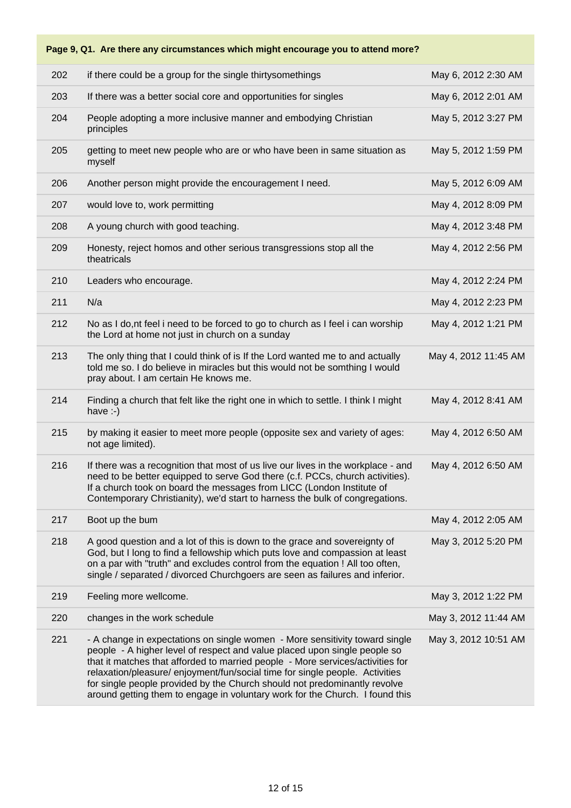|     | Page 9, Q1. Are there any circumstances which might encourage you to attend more?                                                                                                                                                                                                                                                                                                                                                                                                       |                      |
|-----|-----------------------------------------------------------------------------------------------------------------------------------------------------------------------------------------------------------------------------------------------------------------------------------------------------------------------------------------------------------------------------------------------------------------------------------------------------------------------------------------|----------------------|
| 202 | if there could be a group for the single thirtysomethings                                                                                                                                                                                                                                                                                                                                                                                                                               | May 6, 2012 2:30 AM  |
| 203 | If there was a better social core and opportunities for singles                                                                                                                                                                                                                                                                                                                                                                                                                         | May 6, 2012 2:01 AM  |
| 204 | People adopting a more inclusive manner and embodying Christian<br>principles                                                                                                                                                                                                                                                                                                                                                                                                           | May 5, 2012 3:27 PM  |
| 205 | getting to meet new people who are or who have been in same situation as<br>myself                                                                                                                                                                                                                                                                                                                                                                                                      | May 5, 2012 1:59 PM  |
| 206 | Another person might provide the encouragement I need.                                                                                                                                                                                                                                                                                                                                                                                                                                  | May 5, 2012 6:09 AM  |
| 207 | would love to, work permitting                                                                                                                                                                                                                                                                                                                                                                                                                                                          | May 4, 2012 8:09 PM  |
| 208 | A young church with good teaching.                                                                                                                                                                                                                                                                                                                                                                                                                                                      | May 4, 2012 3:48 PM  |
| 209 | Honesty, reject homos and other serious transgressions stop all the<br>theatricals                                                                                                                                                                                                                                                                                                                                                                                                      | May 4, 2012 2:56 PM  |
| 210 | Leaders who encourage.                                                                                                                                                                                                                                                                                                                                                                                                                                                                  | May 4, 2012 2:24 PM  |
| 211 | N/a                                                                                                                                                                                                                                                                                                                                                                                                                                                                                     | May 4, 2012 2:23 PM  |
| 212 | No as I do, nt feel i need to be forced to go to church as I feel i can worship<br>the Lord at home not just in church on a sunday                                                                                                                                                                                                                                                                                                                                                      | May 4, 2012 1:21 PM  |
| 213 | The only thing that I could think of is If the Lord wanted me to and actually<br>told me so. I do believe in miracles but this would not be somthing I would<br>pray about. I am certain He knows me.                                                                                                                                                                                                                                                                                   | May 4, 2012 11:45 AM |
| 214 | Finding a church that felt like the right one in which to settle. I think I might<br>have $\div$ )                                                                                                                                                                                                                                                                                                                                                                                      | May 4, 2012 8:41 AM  |
| 215 | by making it easier to meet more people (opposite sex and variety of ages:<br>not age limited).                                                                                                                                                                                                                                                                                                                                                                                         | May 4, 2012 6:50 AM  |
| 216 | If there was a recognition that most of us live our lives in the workplace - and<br>need to be better equipped to serve God there (c.f. PCCs, church activities).<br>If a church took on board the messages from LICC (London Institute of<br>Contemporary Christianity), we'd start to harness the bulk of congregations.                                                                                                                                                              | May 4, 2012 6:50 AM  |
| 217 | Boot up the bum                                                                                                                                                                                                                                                                                                                                                                                                                                                                         | May 4, 2012 2:05 AM  |
| 218 | A good question and a lot of this is down to the grace and sovereignty of<br>God, but I long to find a fellowship which puts love and compassion at least<br>on a par with "truth" and excludes control from the equation ! All too often,<br>single / separated / divorced Churchgoers are seen as failures and inferior.                                                                                                                                                              | May 3, 2012 5:20 PM  |
| 219 | Feeling more wellcome.                                                                                                                                                                                                                                                                                                                                                                                                                                                                  | May 3, 2012 1:22 PM  |
| 220 | changes in the work schedule                                                                                                                                                                                                                                                                                                                                                                                                                                                            | May 3, 2012 11:44 AM |
| 221 | - A change in expectations on single women - More sensitivity toward single<br>people - A higher level of respect and value placed upon single people so<br>that it matches that afforded to married people - More services/activities for<br>relaxation/pleasure/ enjoyment/fun/social time for single people. Activities<br>for single people provided by the Church should not predominantly revolve<br>around getting them to engage in voluntary work for the Church. I found this | May 3, 2012 10:51 AM |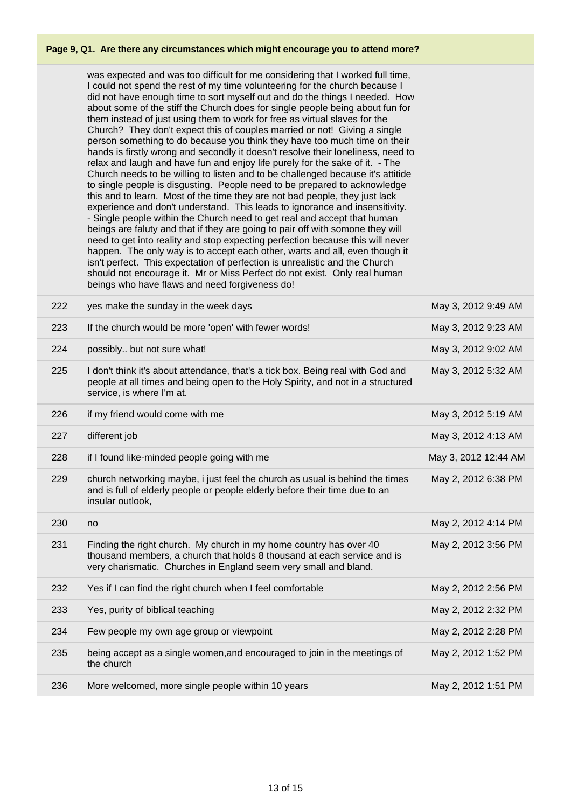was expected and was too difficult for me considering that I worked full time, I could not spend the rest of my time volunteering for the church because I did not have enough time to sort myself out and do the things I needed. How about some of the stiff the Church does for single people being about fun for them instead of just using them to work for free as virtual slaves for the Church? They don't expect this of couples married or not! Giving a single person something to do because you think they have too much time on their hands is firstly wrong and secondly it doesn't resolve their loneliness, need to relax and laugh and have fun and enjoy life purely for the sake of it. - The Church needs to be willing to listen and to be challenged because it's attitide to single people is disgusting. People need to be prepared to acknowledge this and to learn. Most of the time they are not bad people, they just lack experience and don't understand. This leads to ignorance and insensitivity. - Single people within the Church need to get real and accept that human beings are faluty and that if they are going to pair off with somone they will need to get into reality and stop expecting perfection because this will never happen. The only way is to accept each other, warts and all, even though it isn't perfect. This expectation of perfection is unrealistic and the Church should not encourage it. Mr or Miss Perfect do not exist. Only real human beings who have flaws and need forgiveness do!

| 222 | yes make the sunday in the week days                                                                                                                                                                              | May 3, 2012 9:49 AM  |
|-----|-------------------------------------------------------------------------------------------------------------------------------------------------------------------------------------------------------------------|----------------------|
| 223 | If the church would be more 'open' with fewer words!                                                                                                                                                              | May 3, 2012 9:23 AM  |
| 224 | possibly but not sure what!                                                                                                                                                                                       | May 3, 2012 9:02 AM  |
| 225 | I don't think it's about attendance, that's a tick box. Being real with God and<br>people at all times and being open to the Holy Spirity, and not in a structured<br>service, is where I'm at.                   | May 3, 2012 5:32 AM  |
| 226 | if my friend would come with me                                                                                                                                                                                   | May 3, 2012 5:19 AM  |
| 227 | different job                                                                                                                                                                                                     | May 3, 2012 4:13 AM  |
| 228 | if I found like-minded people going with me                                                                                                                                                                       | May 3, 2012 12:44 AM |
| 229 | church networking maybe, i just feel the church as usual is behind the times<br>and is full of elderly people or people elderly before their time due to an<br>insular outlook,                                   | May 2, 2012 6:38 PM  |
| 230 | no                                                                                                                                                                                                                | May 2, 2012 4:14 PM  |
| 231 | Finding the right church. My church in my home country has over 40<br>thousand members, a church that holds 8 thousand at each service and is<br>very charismatic. Churches in England seem very small and bland. | May 2, 2012 3:56 PM  |
| 232 | Yes if I can find the right church when I feel comfortable                                                                                                                                                        | May 2, 2012 2:56 PM  |
| 233 | Yes, purity of biblical teaching                                                                                                                                                                                  | May 2, 2012 2:32 PM  |
| 234 | Few people my own age group or viewpoint                                                                                                                                                                          | May 2, 2012 2:28 PM  |
| 235 | being accept as a single women, and encouraged to join in the meetings of<br>the church                                                                                                                           | May 2, 2012 1:52 PM  |
| 236 | More welcomed, more single people within 10 years                                                                                                                                                                 | May 2, 2012 1:51 PM  |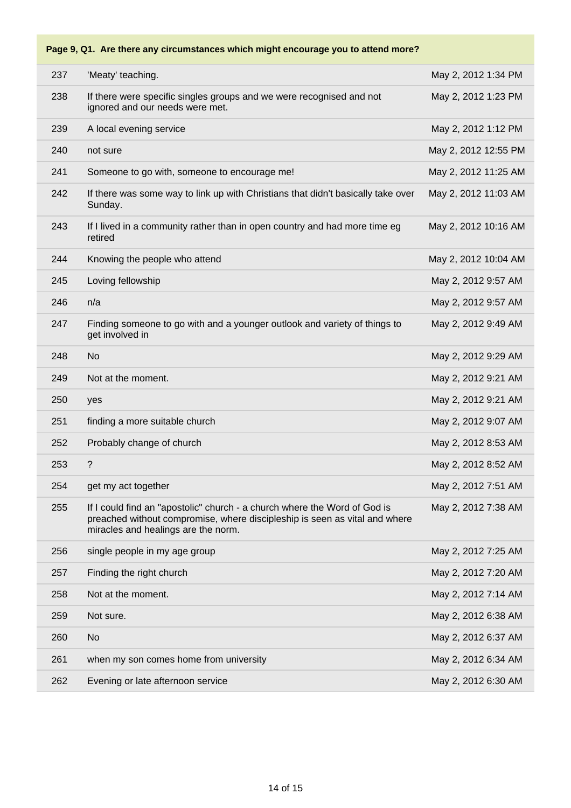# **Page 9, Q1. Are there any circumstances which might encourage you to attend more?** 'Meaty' teaching. May 2, 2012 1:34 PM If there were specific singles groups and we were recognised and not

| 238 | If there were specific singles groups and we were recognised and not<br>ignored and our needs were met.                                                                                        | May 2, 2012 1:23 PM  |
|-----|------------------------------------------------------------------------------------------------------------------------------------------------------------------------------------------------|----------------------|
| 239 | A local evening service                                                                                                                                                                        | May 2, 2012 1:12 PM  |
| 240 | not sure                                                                                                                                                                                       | May 2, 2012 12:55 PM |
| 241 | Someone to go with, someone to encourage me!                                                                                                                                                   | May 2, 2012 11:25 AM |
| 242 | If there was some way to link up with Christians that didn't basically take over<br>Sunday.                                                                                                    | May 2, 2012 11:03 AM |
| 243 | If I lived in a community rather than in open country and had more time eg<br>retired                                                                                                          | May 2, 2012 10:16 AM |
| 244 | Knowing the people who attend                                                                                                                                                                  | May 2, 2012 10:04 AM |
| 245 | Loving fellowship                                                                                                                                                                              | May 2, 2012 9:57 AM  |
| 246 | n/a                                                                                                                                                                                            | May 2, 2012 9:57 AM  |
| 247 | Finding someone to go with and a younger outlook and variety of things to<br>get involved in                                                                                                   | May 2, 2012 9:49 AM  |
| 248 | <b>No</b>                                                                                                                                                                                      | May 2, 2012 9:29 AM  |
| 249 | Not at the moment.                                                                                                                                                                             | May 2, 2012 9:21 AM  |
|     |                                                                                                                                                                                                |                      |
| 250 | yes                                                                                                                                                                                            | May 2, 2012 9:21 AM  |
| 251 | finding a more suitable church                                                                                                                                                                 | May 2, 2012 9:07 AM  |
| 252 | Probably change of church                                                                                                                                                                      | May 2, 2012 8:53 AM  |
| 253 | $\overline{?}$                                                                                                                                                                                 | May 2, 2012 8:52 AM  |
| 254 | get my act together                                                                                                                                                                            | May 2, 2012 7:51 AM  |
| 255 | If I could find an "apostolic" church - a church where the Word of God is<br>preached without compromise, where discipleship is seen as vital and where<br>miracles and healings are the norm. | May 2, 2012 7:38 AM  |
| 256 | single people in my age group                                                                                                                                                                  | May 2, 2012 7:25 AM  |
| 257 | Finding the right church                                                                                                                                                                       | May 2, 2012 7:20 AM  |
| 258 | Not at the moment.                                                                                                                                                                             | May 2, 2012 7:14 AM  |
| 259 | Not sure.                                                                                                                                                                                      | May 2, 2012 6:38 AM  |
| 260 | <b>No</b>                                                                                                                                                                                      | May 2, 2012 6:37 AM  |
| 261 | when my son comes home from university                                                                                                                                                         | May 2, 2012 6:34 AM  |
| 262 | Evening or late afternoon service                                                                                                                                                              | May 2, 2012 6:30 AM  |